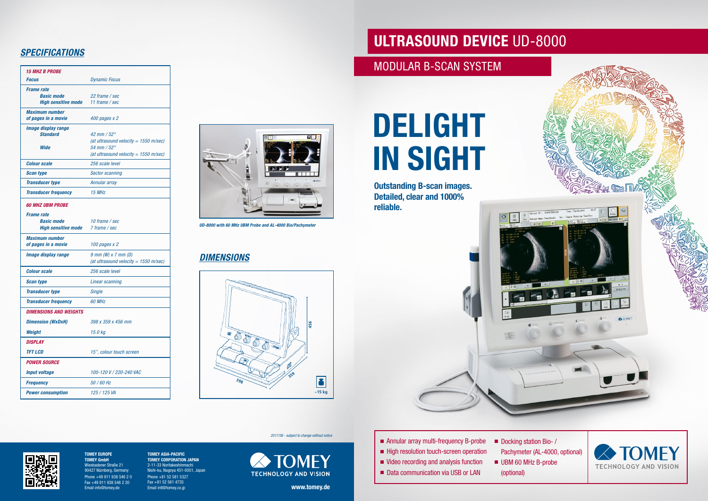## **ULTRASOUND DEVICE** UD-8000



Docking station Bio- / Pachymeter (AL-4000, optional)



- Annular array multi-frequency B-probe
- High resolution touch-screen operation
- Video recording and analysis function
- Data communication via USB or LAN
- UBM 60 MHz B-probe (optional)

# **DELIGHT IN SIGHT**

**Outstanding B-scan images. Detailed, clear and 1000% reliable.**

*2017/08 - subject to change without notice*



## *SPECIFICATIONS*

| <b>15 MHZ B PROBE</b>                                                                           |                                                                                                                                  |                                                          |
|-------------------------------------------------------------------------------------------------|----------------------------------------------------------------------------------------------------------------------------------|----------------------------------------------------------|
| <b>Focus</b>                                                                                    | <b>Dynamic Focus</b>                                                                                                             |                                                          |
| <b>Frame rate</b><br><b>Basic mode</b><br><b>High sensitive mode</b>                            | 22 frame / sec<br>11 frame / sec                                                                                                 |                                                          |
| <b>Maximum number</b><br>of pages in a movie                                                    | 400 pages x 2                                                                                                                    |                                                          |
| <b>Image display range</b><br><b>Standard</b><br><b>Wide</b>                                    | 42 mm / $52^{\circ}$<br>(at ultrasound velocity = $1550$ m/sec)<br>54 mm / $52^\circ$<br>(at ultrasound velocity = $1550$ m/sec) | ш                                                        |
| <b>Colour scale</b>                                                                             | 256 scale level                                                                                                                  |                                                          |
| <b>Scan type</b>                                                                                | <b>Sector scanning</b>                                                                                                           |                                                          |
| <b>Transducer type</b>                                                                          | Annular array                                                                                                                    | <b>G</b> TOMES                                           |
| <b>Transducer frequency</b>                                                                     | 15 MHz                                                                                                                           |                                                          |
| <b>60 MHZ UBM PROBE</b><br><b>Frame rate</b><br><b>Basic mode</b><br><b>High sensitive mode</b> | 10 frame / sec<br>7 frame / sec                                                                                                  | UD-8000 with 60 MHz UBM Probe and AL-4000 Bio/Pachymeter |
| <b>Maximum number</b><br>of pages in a movie                                                    | 100 pages x 2                                                                                                                    |                                                          |
| <b>Image display range</b>                                                                      | $9$ mm (W) $x$ 7 mm (D)<br>(at ultrasound velocity = $1550$ m/sec)                                                               | <b>DIMENSIONS</b>                                        |
| <b>Colour scale</b>                                                                             | 256 scale level                                                                                                                  |                                                          |
| <b>Scan type</b>                                                                                | Linear scanning                                                                                                                  |                                                          |
| <b>Transducer type</b>                                                                          | <b>Single</b>                                                                                                                    |                                                          |
| <b>Transducer frequency</b>                                                                     | 60 MHz                                                                                                                           |                                                          |
| <b>DIMENSIONS AND WEIGHTS</b>                                                                   |                                                                                                                                  |                                                          |
| <b>Dimension (WxDxH)</b>                                                                        | 398 x 359 x 456 mm                                                                                                               | 456                                                      |
| Weight                                                                                          | 15.0 kg                                                                                                                          |                                                          |
| <b>DISPLAY</b>                                                                                  |                                                                                                                                  | 55<br>$\circledcirc$<br>$\sum_{i=1}^{\infty}$            |
| <b>TFT LCD</b>                                                                                  | 15", colour touch screen                                                                                                         |                                                          |
| <b>POWER SOURCE</b>                                                                             |                                                                                                                                  | Ø                                                        |
| <b>Input voltage</b>                                                                            | 100-120 V / 220-240 VAC                                                                                                          | 359                                                      |
| <b>Frequency</b>                                                                                | 50 / 60 Hz                                                                                                                       | 398                                                      |
| <b>Power consumption</b>                                                                        | 125 / 125 VA                                                                                                                     | $~15$ kg                                                 |



### *DIMENSIONS*



**www.tomey.de**

**TOMEY ASIA-PACIFIC TOMEY CORPORATION JAPAN** 2-11-33 Noritakeshinmachi Nishi-ku, Nagoya 451-0051, Japan Phone +81 52 581 5327 Fax +81 52 561 4735 Email intl@tomey.co.jp

**TOMEY EUROPE TOMEY GmbH** Wiesbadener Straße 21 90427 Nürnberg, Germany Phone +49 911 938 546 2 0 Fax +49 911 938 546 2 20 Email info@tomey.de